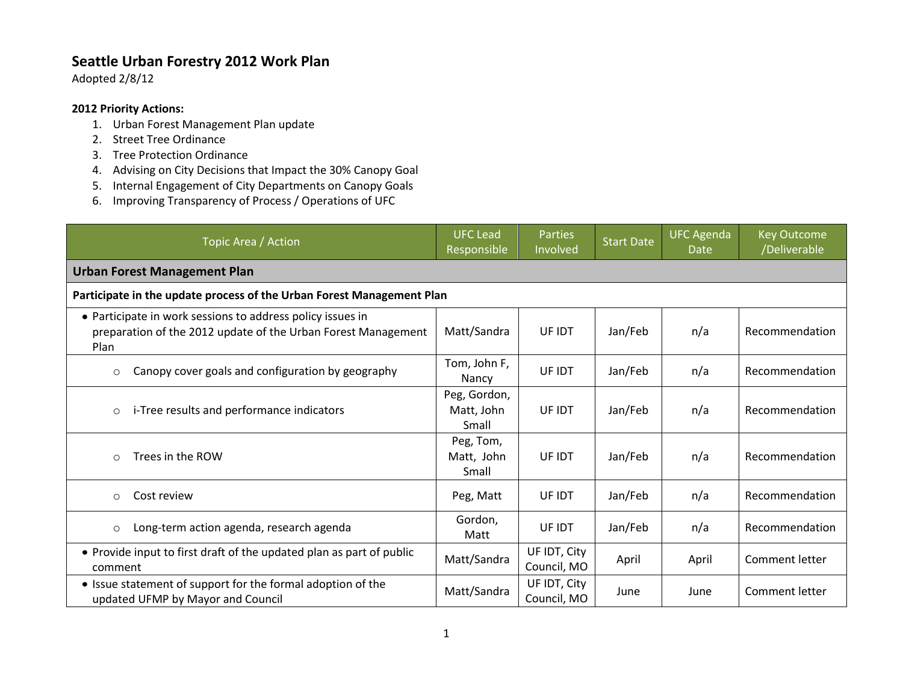## **Seattle Urban Forestry 2012 Work Plan**

Adopted 2/8/12

## **2012 Priority Actions:**

- 1. Urban Forest Management Plan update
- 2. Street Tree Ordinance
- 3. Tree Protection Ordinance
- 4. Advising on City Decisions that Impact the 30% Canopy Goal
- 5. Internal Engagement of City Departments on Canopy Goals
- 6. Improving Transparency of Process / Operations of UFC

| Topic Area / Action                                                                                                                 | <b>UFC Lead</b><br>Responsible      | <b>Parties</b><br>Involved  | <b>Start Date</b> | <b>UFC Agenda</b><br><b>Date</b> | <b>Key Outcome</b><br>/Deliverable |  |  |  |
|-------------------------------------------------------------------------------------------------------------------------------------|-------------------------------------|-----------------------------|-------------------|----------------------------------|------------------------------------|--|--|--|
| <b>Urban Forest Management Plan</b>                                                                                                 |                                     |                             |                   |                                  |                                    |  |  |  |
| Participate in the update process of the Urban Forest Management Plan                                                               |                                     |                             |                   |                                  |                                    |  |  |  |
| • Participate in work sessions to address policy issues in<br>preparation of the 2012 update of the Urban Forest Management<br>Plan | Matt/Sandra                         | UF IDT                      | Jan/Feb           | n/a                              | Recommendation                     |  |  |  |
| Canopy cover goals and configuration by geography<br>$\circ$                                                                        | Tom, John F,<br>Nancy               | UF IDT                      | Jan/Feb           | n/a                              | Recommendation                     |  |  |  |
| i-Tree results and performance indicators<br>$\circ$                                                                                | Peg, Gordon,<br>Matt, John<br>Small | UF IDT                      | Jan/Feb           | n/a                              | Recommendation                     |  |  |  |
| Trees in the ROW<br>$\circ$                                                                                                         | Peg, Tom,<br>Matt, John<br>Small    | UF IDT                      | Jan/Feb           | n/a                              | Recommendation                     |  |  |  |
| Cost review<br>$\circ$                                                                                                              | Peg, Matt                           | UF IDT                      | Jan/Feb           | n/a                              | Recommendation                     |  |  |  |
| Long-term action agenda, research agenda<br>$\circ$                                                                                 | Gordon,<br>Matt                     | UF IDT                      | Jan/Feb           | n/a                              | Recommendation                     |  |  |  |
| • Provide input to first draft of the updated plan as part of public<br>comment                                                     | Matt/Sandra                         | UF IDT, City<br>Council, MO | April             | April                            | Comment letter                     |  |  |  |
| • Issue statement of support for the formal adoption of the<br>updated UFMP by Mayor and Council                                    | Matt/Sandra                         | UF IDT, City<br>Council, MO | June              | June                             | Comment letter                     |  |  |  |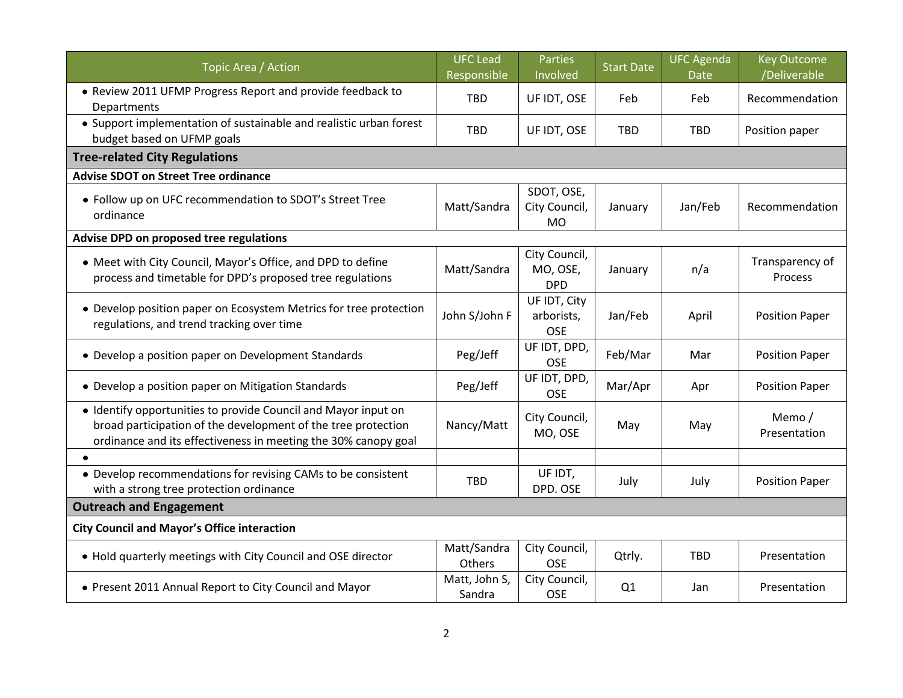| Topic Area / Action                                                                                                                                                                               | <b>UFC</b> Lead<br>Responsible | <b>Parties</b><br>Involved               | <b>Start Date</b> | <b>UFC Agenda</b><br><b>Date</b> | <b>Key Outcome</b><br>/Deliverable |  |  |
|---------------------------------------------------------------------------------------------------------------------------------------------------------------------------------------------------|--------------------------------|------------------------------------------|-------------------|----------------------------------|------------------------------------|--|--|
| • Review 2011 UFMP Progress Report and provide feedback to<br>Departments                                                                                                                         | <b>TBD</b>                     | UF IDT, OSE                              | Feb               | Feb                              | Recommendation                     |  |  |
| • Support implementation of sustainable and realistic urban forest<br>budget based on UFMP goals                                                                                                  | <b>TBD</b>                     | UF IDT, OSE                              | TBD               | <b>TBD</b>                       | Position paper                     |  |  |
| <b>Tree-related City Regulations</b>                                                                                                                                                              |                                |                                          |                   |                                  |                                    |  |  |
| <b>Advise SDOT on Street Tree ordinance</b>                                                                                                                                                       |                                |                                          |                   |                                  |                                    |  |  |
| . Follow up on UFC recommendation to SDOT's Street Tree<br>ordinance                                                                                                                              | Matt/Sandra                    | SDOT, OSE,<br>City Council,<br><b>MO</b> | January           | Jan/Feb                          | Recommendation                     |  |  |
| Advise DPD on proposed tree regulations                                                                                                                                                           |                                |                                          |                   |                                  |                                    |  |  |
| • Meet with City Council, Mayor's Office, and DPD to define<br>process and timetable for DPD's proposed tree regulations                                                                          | Matt/Sandra                    | City Council,<br>MO, OSE,<br><b>DPD</b>  | January           | n/a                              | Transparency of<br>Process         |  |  |
| • Develop position paper on Ecosystem Metrics for tree protection<br>regulations, and trend tracking over time                                                                                    | John S/John F                  | UF IDT, City<br>arborists,<br><b>OSE</b> | Jan/Feb           | April                            | <b>Position Paper</b>              |  |  |
| • Develop a position paper on Development Standards                                                                                                                                               | Peg/Jeff                       | UF IDT, DPD,<br><b>OSE</b>               | Feb/Mar           | Mar                              | <b>Position Paper</b>              |  |  |
| • Develop a position paper on Mitigation Standards                                                                                                                                                | Peg/Jeff                       | UF IDT, DPD,<br><b>OSE</b>               | Mar/Apr           | Apr                              | <b>Position Paper</b>              |  |  |
| • Identify opportunities to provide Council and Mayor input on<br>broad participation of the development of the tree protection<br>ordinance and its effectiveness in meeting the 30% canopy goal | Nancy/Matt                     | City Council,<br>MO, OSE                 | May               | May                              | Memo /<br>Presentation             |  |  |
|                                                                                                                                                                                                   |                                |                                          |                   |                                  |                                    |  |  |
| • Develop recommendations for revising CAMs to be consistent<br>with a strong tree protection ordinance                                                                                           | TBD                            | UF IDT,<br>DPD. OSE                      | July              | July                             | <b>Position Paper</b>              |  |  |
| <b>Outreach and Engagement</b>                                                                                                                                                                    |                                |                                          |                   |                                  |                                    |  |  |
| <b>City Council and Mayor's Office interaction</b>                                                                                                                                                |                                |                                          |                   |                                  |                                    |  |  |
| • Hold quarterly meetings with City Council and OSE director                                                                                                                                      | Matt/Sandra<br>Others          | City Council,<br><b>OSE</b>              | Qtrly.            | <b>TBD</b>                       | Presentation                       |  |  |
| • Present 2011 Annual Report to City Council and Mayor                                                                                                                                            | Matt, John S,<br>Sandra        | City Council,<br><b>OSE</b>              | Q1                | Jan                              | Presentation                       |  |  |